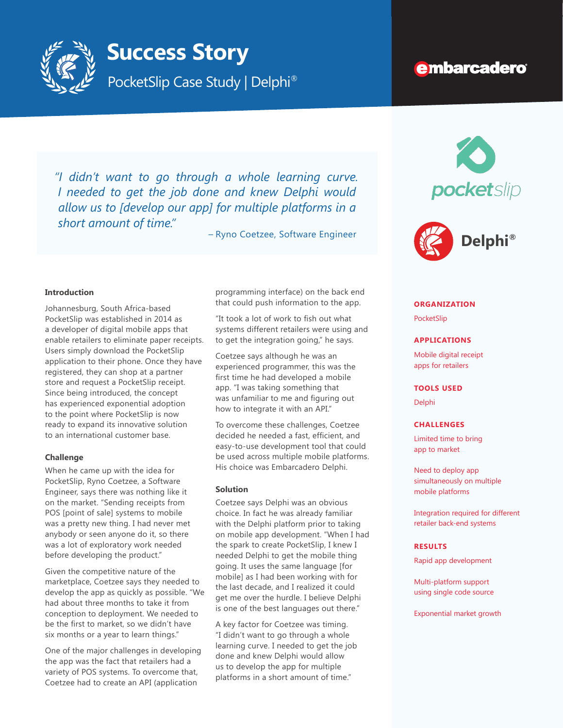

# **Success Story**

PocketSlip Case Study | Delphi<sup>®</sup>

# **embarcadero**

pocketslip

*"I didn't want to go through a whole learning curve. I needed to get the job done and knew Delphi would allow us to [develop our app] for multiple platforms in a short amount of time."*

– Ryno Coetzee, Software Engineer

#### **Introduction**

Johannesburg, South Africa-based PocketSlip was established in 2014 as a developer of digital mobile apps that enable retailers to eliminate paper receipts. Users simply download the PocketSlip application to their phone. Once they have registered, they can shop at a partner store and request a PocketSlip receipt. Since being introduced, the concept has experienced exponential adoption to the point where PocketSlip is now ready to expand its innovative solution to an international customer base.

#### **Challenge**

When he came up with the idea for PocketSlip, Ryno Coetzee, a Software Engineer, says there was nothing like it on the market. "Sending receipts from POS [point of sale] systems to mobile was a pretty new thing. I had never met anybody or seen anyone do it, so there was a lot of exploratory work needed before developing the product."

Given the competitive nature of the marketplace, Coetzee says they needed to develop the app as quickly as possible. "We had about three months to take it from conception to deployment. We needed to be the first to market, so we didn't have six months or a year to learn things."

One of the major challenges in developing the app was the fact that retailers had a variety of POS systems. To overcome that, Coetzee had to create an API (application

programming interface) on the back end that could push information to the app.

"It took a lot of work to fish out what systems different retailers were using and to get the integration going," he says.

Coetzee says although he was an experienced programmer, this was the first time he had developed a mobile app. "I was taking something that was unfamiliar to me and figuring out how to integrate it with an API."

To overcome these challenges, Coetzee decided he needed a fast, efficient, and easy-to-use development tool that could be used across multiple mobile platforms. His choice was Embarcadero Delphi.

#### **Solution**

Coetzee says Delphi was an obvious choice. In fact he was already familiar with the Delphi platform prior to taking on mobile app development. "When I had the spark to create PocketSlip, I knew I needed Delphi to get the mobile thing going. It uses the same language [for mobile] as I had been working with for the last decade, and I realized it could get me over the hurdle. I believe Delphi is one of the best languages out there."

A key factor for Coetzee was timing. "I didn't want to go through a whole learning curve. I needed to get the job done and knew Delphi would allow us to develop the app for multiple platforms in a short amount of time."



#### **ORGANIZATION**

PocketSlip

#### **APPLICATIONS**

Mobile digital receipt apps for retailers

#### **TOOLS USED**

Delphi

#### **CHALLENGES**

Limited time to bring app to market

Need to deploy app simultaneously on multiple mobile platforms

Integration required for different retailer back-end systems

### **RESULTS**

Rapid app development

Multi-platform support using single code source

Exponential market growth